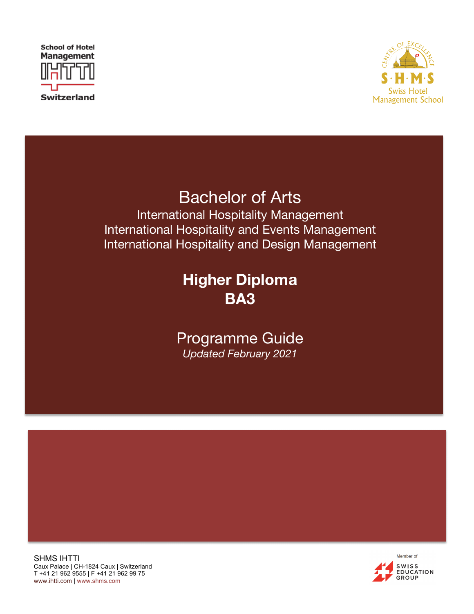



# Bachelor of Arts

International Hospitality Management International Hospitality and Events Management International Hospitality and Design Management

## **Higher Diploma BA3**

### Programme Guide *Updated February 2021*

SHMS IHTTI Caux Palace | CH-1824 Caux | Switzerland T +41 21 962 9555 | F +41 21 962 99 75 www.ihtti.com | www.shms.com

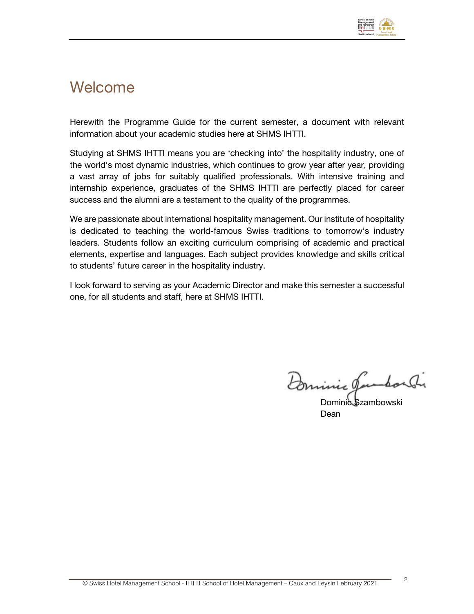

### Welcome

Herewith the Programme Guide for the current semester, a document with relevant information about your academic studies here at SHMS IHTTI.

Studying at SHMS IHTTI means you are 'checking into' the hospitality industry, one of the world's most dynamic industries, which continues to grow year after year, providing a vast array of jobs for suitably qualified professionals. With intensive training and internship experience, graduates of the SHMS IHTTI are perfectly placed for career success and the alumni are a testament to the quality of the programmes.

We are passionate about international hospitality management. Our institute of hospitality is dedicated to teaching the world-famous Swiss traditions to tomorrow's industry leaders. Students follow an exciting curriculum comprising of academic and practical elements, expertise and languages. Each subject provides knowledge and skills critical to students' future career in the hospitality industry.

I look forward to serving as your Academic Director and make this semester a successful one, for all students and staff, here at SHMS IHTTI.

Dominic Jambor Si

Dominic Szambowski Dean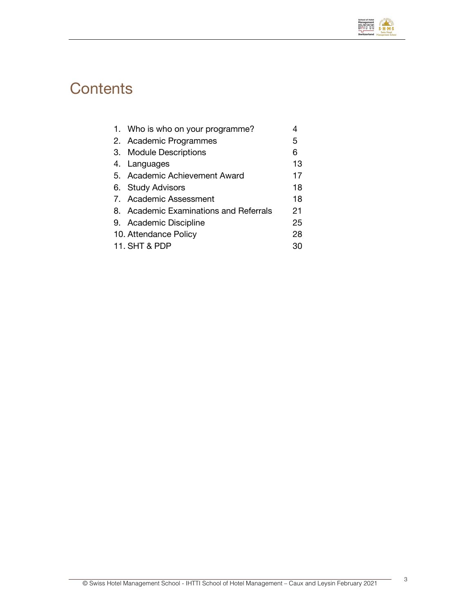

# **Contents**

|               | 1. Who is who on your programme?       |    |
|---------------|----------------------------------------|----|
|               | 2. Academic Programmes                 | 5  |
|               | 3. Module Descriptions                 | 6  |
|               | 4. Languages                           | 13 |
|               | 5. Academic Achievement Award          | 17 |
|               | 6. Study Advisors                      | 18 |
|               | 7. Academic Assessment                 | 18 |
|               | 8. Academic Examinations and Referrals | 21 |
|               | 9. Academic Discipline                 | 25 |
|               | 10. Attendance Policy                  | 28 |
| 11. SHT & PDP |                                        | 30 |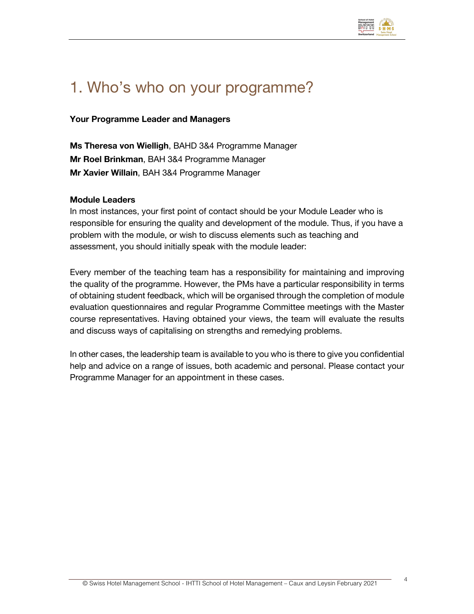

## 1. Who's who on your programme?

#### **Your Programme Leader and Managers**

**Ms Theresa von Wielligh**, BAHD 3&4 Programme Manager **Mr Roel Brinkman**, BAH 3&4 Programme Manager **Mr Xavier Willain**, BAH 3&4 Programme Manager

#### **Module Leaders**

In most instances, your first point of contact should be your Module Leader who is responsible for ensuring the quality and development of the module. Thus, if you have a problem with the module, or wish to discuss elements such as teaching and assessment, you should initially speak with the module leader:

Every member of the teaching team has a responsibility for maintaining and improving the quality of the programme. However, the PMs have a particular responsibility in terms of obtaining student feedback, which will be organised through the completion of module evaluation questionnaires and regular Programme Committee meetings with the Master course representatives. Having obtained your views, the team will evaluate the results and discuss ways of capitalising on strengths and remedying problems.

In other cases, the leadership team is available to you who is there to give you confidential help and advice on a range of issues, both academic and personal. Please contact your Programme Manager for an appointment in these cases.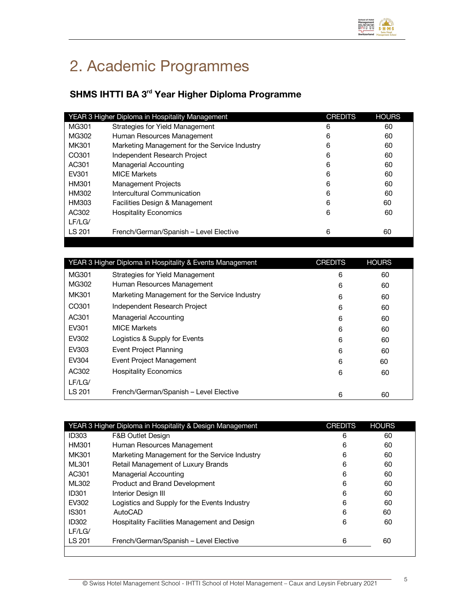

# 2. Academic Programmes

### **SHMS IHTTI BA 3rd Year Higher Diploma Programme**

|                   | YEAR 3 Higher Diploma in Hospitality Management | <b>CREDITS</b> | <b>HOURS</b> |
|-------------------|-------------------------------------------------|----------------|--------------|
| MG301             | Strategies for Yield Management                 | 6              | 60           |
| MG302             | Human Resources Management                      | 6              | 60           |
| MK301             | Marketing Management for the Service Industry   | 6              | 60           |
| CO <sub>301</sub> | Independent Research Project                    | 6              | 60           |
| AC301             | <b>Managerial Accounting</b>                    | 6              | 60           |
| EV301             | <b>MICF Markets</b>                             | 6              | 60           |
| HM301             | <b>Management Projects</b>                      | 6              | 60           |
| HM302             | Intercultural Communication                     | 6              | 60           |
| HM303             | Facilities Design & Management                  | 6              | 60           |
| AC302             | <b>Hospitality Economics</b>                    | 6              | 60           |
| LF/LG/            |                                                 |                |              |
| LS 201            | French/German/Spanish - Level Elective          | 6              | 60           |
|                   |                                                 |                |              |

| YEAR 3 Higher Diploma in Hospitality & Events Management |                                               | <b>CREDITS</b> | <b>HOURS</b> |
|----------------------------------------------------------|-----------------------------------------------|----------------|--------------|
| MG301                                                    | Strategies for Yield Management               | 6              | 60           |
| MG302                                                    | Human Resources Management                    | 6              | 60           |
| MK301                                                    | Marketing Management for the Service Industry | 6              | 60           |
| CO301                                                    | Independent Research Project                  | 6              | 60           |
| AC301                                                    | Managerial Accounting                         | 6              | 60           |
| EV301                                                    | <b>MICF Markets</b>                           | 6              | 60           |
| EV302                                                    | Logistics & Supply for Events                 | 6              | 60           |
| EV303                                                    | Event Project Planning                        | 6              | 60           |
| EV304                                                    | Event Project Management                      | 6              | 60           |
| AC302                                                    | <b>Hospitality Economics</b>                  | 6              | 60           |
| LF/LG/                                                   |                                               |                |              |
| LS 201                                                   | French/German/Spanish - Level Elective        | 6              | 60           |

|              | YEAR 3 Higher Diploma in Hospitality & Design Management | <b>CREDITS</b> | <b>HOURS</b> |
|--------------|----------------------------------------------------------|----------------|--------------|
| <b>ID303</b> | <b>F&amp;B Outlet Design</b>                             | 6              | 60           |
| HM301        | Human Resources Management                               | 6              | 60           |
| MK301        | Marketing Management for the Service Industry            | 6              | 60           |
| ML301        | Retail Management of Luxury Brands                       | 6              | 60           |
| AC301        | Managerial Accounting                                    | 6              | 60           |
| ML302        | Product and Brand Development                            | 6              | 60           |
| <b>ID301</b> | Interior Design III                                      | 6              | 60           |
| EV302        | Logistics and Supply for the Events Industry             | 6              | 60           |
| <b>IS301</b> | AutoCAD                                                  | 6              | 60           |
| <b>ID302</b> | Hospitality Facilities Management and Design             | 6              | 60           |
| LF/LG/       |                                                          |                |              |
| LS 201       | French/German/Spanish - Level Elective                   | 6              | 60           |
|              |                                                          |                |              |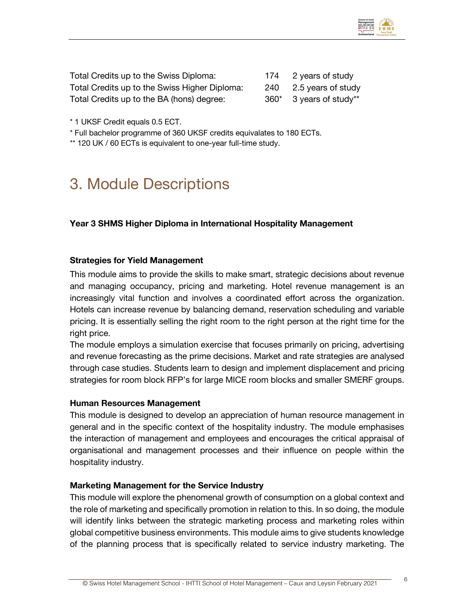

| Total Credits up to the Swiss Diploma:        |      | 174 2 years of study   |
|-----------------------------------------------|------|------------------------|
| Total Credits up to the Swiss Higher Diploma: |      | 240 2.5 years of study |
| Total Credits up to the BA (hons) degree:     | 360* | 3 years of study**     |

\* 1 UKSF Credit equals 0.5 ECT.

\* Full bachelor programme of 360 UKSF credits equivalates to 180 ECTs.

\*\* 120 UK / 60 ECTs is equivalent to one-year full-time study.

### 3. Module Descriptions

#### **Year 3 SHMS Higher Diploma in International Hospitality Management**

#### **Strategies for Yield Management**

This module aims to provide the skills to make smart, strategic decisions about revenue and managing occupancy, pricing and marketing. Hotel revenue management is an increasingly vital function and involves a coordinated effort across the organization. Hotels can increase revenue by balancing demand, reservation scheduling and variable pricing. It is essentially selling the right room to the right person at the right time for the right price.

The module employs a simulation exercise that focuses primarily on pricing, advertising and revenue forecasting as the prime decisions. Market and rate strategies are analysed through case studies. Students learn to design and implement displacement and pricing strategies for room block RFP's for large MICE room blocks and smaller SMERF groups.

#### **Human Resources Management**

This module is designed to develop an appreciation of human resource management in general and in the specific context of the hospitality industry. The module emphasises the interaction of management and employees and encourages the critical appraisal of organisational and management processes and their influence on people within the hospitality industry.

#### **Marketing Management for the Service Industry**

This module will explore the phenomenal growth of consumption on a global context and the role of marketing and specifically promotion in relation to this. In so doing, the module will identify links between the strategic marketing process and marketing roles within global competitive business environments. This module aims to give students knowledge of the planning process that is specifically related to service industry marketing. The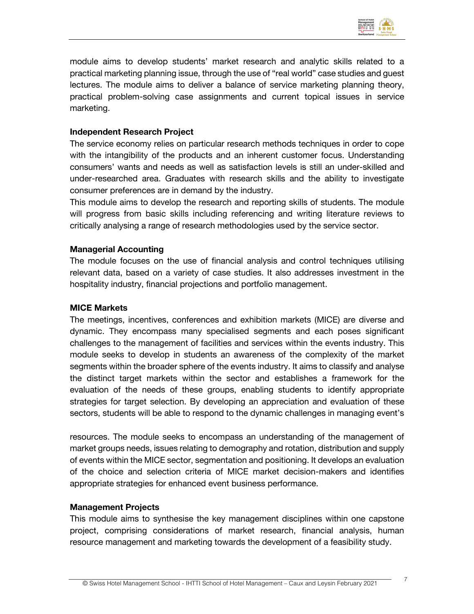

module aims to develop students' market research and analytic skills related to a practical marketing planning issue, through the use of "real world" case studies and guest lectures. The module aims to deliver a balance of service marketing planning theory, practical problem-solving case assignments and current topical issues in service marketing.

#### **Independent Research Project**

The service economy relies on particular research methods techniques in order to cope with the intangibility of the products and an inherent customer focus. Understanding consumers' wants and needs as well as satisfaction levels is still an under-skilled and under-researched area. Graduates with research skills and the ability to investigate consumer preferences are in demand by the industry.

This module aims to develop the research and reporting skills of students. The module will progress from basic skills including referencing and writing literature reviews to critically analysing a range of research methodologies used by the service sector.

#### **Managerial Accounting**

The module focuses on the use of financial analysis and control techniques utilising relevant data, based on a variety of case studies. It also addresses investment in the hospitality industry, financial projections and portfolio management.

#### **MICE Markets**

The meetings, incentives, conferences and exhibition markets (MICE) are diverse and dynamic. They encompass many specialised segments and each poses significant challenges to the management of facilities and services within the events industry. This module seeks to develop in students an awareness of the complexity of the market segments within the broader sphere of the events industry. It aims to classify and analyse the distinct target markets within the sector and establishes a framework for the evaluation of the needs of these groups, enabling students to identify appropriate strategies for target selection. By developing an appreciation and evaluation of these sectors, students will be able to respond to the dynamic challenges in managing event's

resources. The module seeks to encompass an understanding of the management of market groups needs, issues relating to demography and rotation, distribution and supply of events within the MICE sector, segmentation and positioning. It develops an evaluation of the choice and selection criteria of MICE market decision-makers and identifies appropriate strategies for enhanced event business performance.

#### **Management Projects**

This module aims to synthesise the key management disciplines within one capstone project, comprising considerations of market research, financial analysis, human resource management and marketing towards the development of a feasibility study.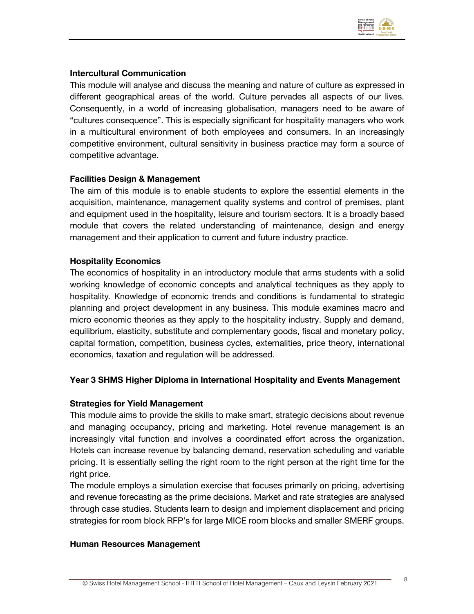

#### **Intercultural Communication**

This module will analyse and discuss the meaning and nature of culture as expressed in different geographical areas of the world. Culture pervades all aspects of our lives. Consequently, in a world of increasing globalisation, managers need to be aware of "cultures consequence". This is especially significant for hospitality managers who work in a multicultural environment of both employees and consumers. In an increasingly competitive environment, cultural sensitivity in business practice may form a source of competitive advantage.

#### **Facilities Design & Management**

The aim of this module is to enable students to explore the essential elements in the acquisition, maintenance, management quality systems and control of premises, plant and equipment used in the hospitality, leisure and tourism sectors. It is a broadly based module that covers the related understanding of maintenance, design and energy management and their application to current and future industry practice.

#### **Hospitality Economics**

The economics of hospitality in an introductory module that arms students with a solid working knowledge of economic concepts and analytical techniques as they apply to hospitality. Knowledge of economic trends and conditions is fundamental to strategic planning and project development in any business. This module examines macro and micro economic theories as they apply to the hospitality industry. Supply and demand, equilibrium, elasticity, substitute and complementary goods, fiscal and monetary policy, capital formation, competition, business cycles, externalities, price theory, international economics, taxation and regulation will be addressed.

#### **Year 3 SHMS Higher Diploma in International Hospitality and Events Management**

#### **Strategies for Yield Management**

This module aims to provide the skills to make smart, strategic decisions about revenue and managing occupancy, pricing and marketing. Hotel revenue management is an increasingly vital function and involves a coordinated effort across the organization. Hotels can increase revenue by balancing demand, reservation scheduling and variable pricing. It is essentially selling the right room to the right person at the right time for the right price.

The module employs a simulation exercise that focuses primarily on pricing, advertising and revenue forecasting as the prime decisions. Market and rate strategies are analysed through case studies. Students learn to design and implement displacement and pricing strategies for room block RFP's for large MICE room blocks and smaller SMERF groups.

#### **Human Resources Management**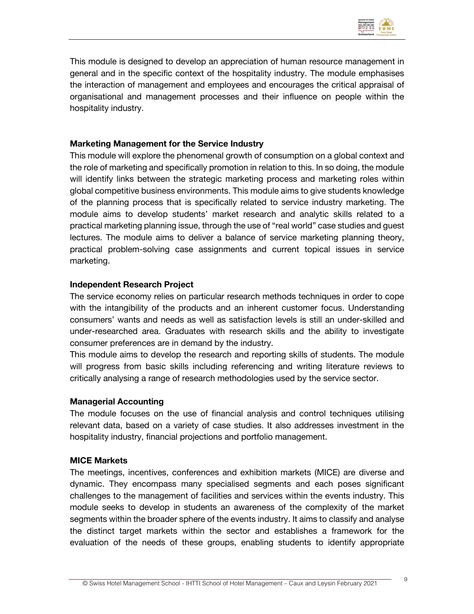

This module is designed to develop an appreciation of human resource management in general and in the specific context of the hospitality industry. The module emphasises the interaction of management and employees and encourages the critical appraisal of organisational and management processes and their influence on people within the hospitality industry.

#### **Marketing Management for the Service Industry**

This module will explore the phenomenal growth of consumption on a global context and the role of marketing and specifically promotion in relation to this. In so doing, the module will identify links between the strategic marketing process and marketing roles within global competitive business environments. This module aims to give students knowledge of the planning process that is specifically related to service industry marketing. The module aims to develop students' market research and analytic skills related to a practical marketing planning issue, through the use of "real world" case studies and guest lectures. The module aims to deliver a balance of service marketing planning theory, practical problem-solving case assignments and current topical issues in service marketing.

#### **Independent Research Project**

The service economy relies on particular research methods techniques in order to cope with the intangibility of the products and an inherent customer focus. Understanding consumers' wants and needs as well as satisfaction levels is still an under-skilled and under-researched area. Graduates with research skills and the ability to investigate consumer preferences are in demand by the industry.

This module aims to develop the research and reporting skills of students. The module will progress from basic skills including referencing and writing literature reviews to critically analysing a range of research methodologies used by the service sector.

#### **Managerial Accounting**

The module focuses on the use of financial analysis and control techniques utilising relevant data, based on a variety of case studies. It also addresses investment in the hospitality industry, financial projections and portfolio management.

#### **MICE Markets**

The meetings, incentives, conferences and exhibition markets (MICE) are diverse and dynamic. They encompass many specialised segments and each poses significant challenges to the management of facilities and services within the events industry. This module seeks to develop in students an awareness of the complexity of the market segments within the broader sphere of the events industry. It aims to classify and analyse the distinct target markets within the sector and establishes a framework for the evaluation of the needs of these groups, enabling students to identify appropriate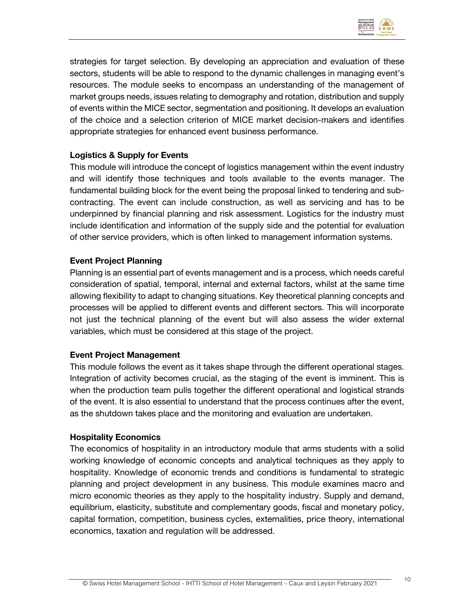

strategies for target selection. By developing an appreciation and evaluation of these sectors, students will be able to respond to the dynamic challenges in managing event's resources. The module seeks to encompass an understanding of the management of market groups needs, issues relating to demography and rotation, distribution and supply of events within the MICE sector, segmentation and positioning. It develops an evaluation of the choice and a selection criterion of MICE market decision-makers and identifies appropriate strategies for enhanced event business performance.

#### **Logistics & Supply for Events**

This module will introduce the concept of logistics management within the event industry and will identify those techniques and tools available to the events manager. The fundamental building block for the event being the proposal linked to tendering and subcontracting. The event can include construction, as well as servicing and has to be underpinned by financial planning and risk assessment. Logistics for the industry must include identification and information of the supply side and the potential for evaluation of other service providers, which is often linked to management information systems.

#### **Event Project Planning**

Planning is an essential part of events management and is a process, which needs careful consideration of spatial, temporal, internal and external factors, whilst at the same time allowing flexibility to adapt to changing situations. Key theoretical planning concepts and processes will be applied to different events and different sectors. This will incorporate not just the technical planning of the event but will also assess the wider external variables, which must be considered at this stage of the project.

#### **Event Project Management**

This module follows the event as it takes shape through the different operational stages. Integration of activity becomes crucial, as the staging of the event is imminent. This is when the production team pulls together the different operational and logistical strands of the event. It is also essential to understand that the process continues after the event, as the shutdown takes place and the monitoring and evaluation are undertaken.

#### **Hospitality Economics**

The economics of hospitality in an introductory module that arms students with a solid working knowledge of economic concepts and analytical techniques as they apply to hospitality. Knowledge of economic trends and conditions is fundamental to strategic planning and project development in any business. This module examines macro and micro economic theories as they apply to the hospitality industry. Supply and demand, equilibrium, elasticity, substitute and complementary goods, fiscal and monetary policy, capital formation, competition, business cycles, externalities, price theory, international economics, taxation and regulation will be addressed.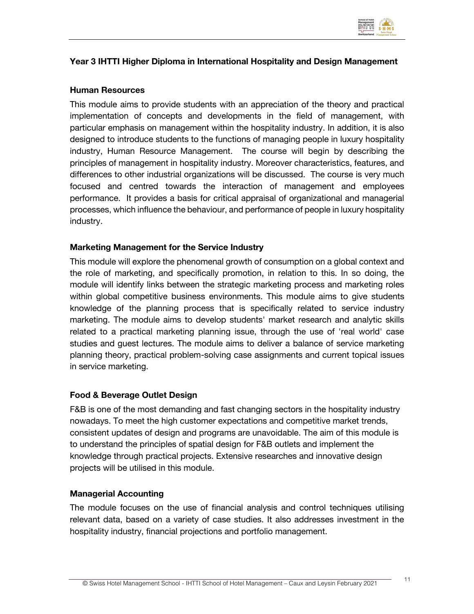

#### **Year 3 IHTTI Higher Diploma in International Hospitality and Design Management**

#### **Human Resources**

This module aims to provide students with an appreciation of the theory and practical implementation of concepts and developments in the field of management, with particular emphasis on management within the hospitality industry. In addition, it is also designed to introduce students to the functions of managing people in luxury hospitality industry, Human Resource Management. The course will begin by describing the principles of management in hospitality industry. Moreover characteristics, features, and differences to other industrial organizations will be discussed. The course is very much focused and centred towards the interaction of management and employees performance. It provides a basis for critical appraisal of organizational and managerial processes, which influence the behaviour, and performance of people in luxury hospitality industry.

#### **Marketing Management for the Service Industry**

This module will explore the phenomenal growth of consumption on a global context and the role of marketing, and specifically promotion, in relation to this. In so doing, the module will identify links between the strategic marketing process and marketing roles within global competitive business environments. This module aims to give students knowledge of the planning process that is specifically related to service industry marketing. The module aims to develop students' market research and analytic skills related to a practical marketing planning issue, through the use of 'real world' case studies and guest lectures. The module aims to deliver a balance of service marketing planning theory, practical problem-solving case assignments and current topical issues in service marketing.

#### **Food & Beverage Outlet Design**

F&B is one of the most demanding and fast changing sectors in the hospitality industry nowadays. To meet the high customer expectations and competitive market trends, consistent updates of design and programs are unavoidable. The aim of this module is to understand the principles of spatial design for F&B outlets and implement the knowledge through practical projects. Extensive researches and innovative design projects will be utilised in this module.

#### **Managerial Accounting**

The module focuses on the use of financial analysis and control techniques utilising relevant data, based on a variety of case studies. It also addresses investment in the hospitality industry, financial projections and portfolio management.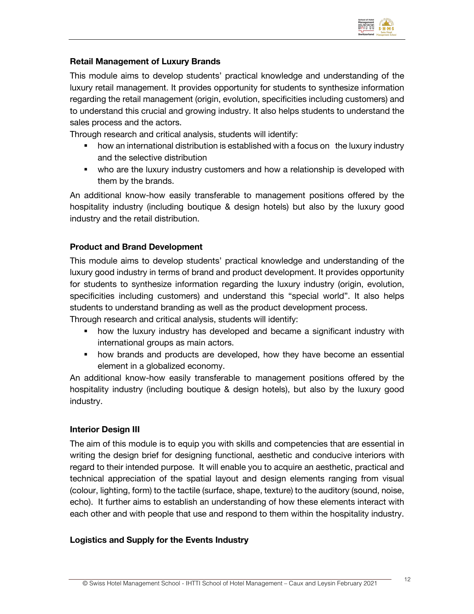

#### **Retail Management of Luxury Brands**

This module aims to develop students' practical knowledge and understanding of the luxury retail management. It provides opportunity for students to synthesize information regarding the retail management (origin, evolution, specificities including customers) and to understand this crucial and growing industry. It also helps students to understand the sales process and the actors.

Through research and critical analysis, students will identify:

- how an international distribution is established with a focus on the luxury industry and the selective distribution
- who are the luxury industry customers and how a relationship is developed with them by the brands.

An additional know-how easily transferable to management positions offered by the hospitality industry (including boutique & design hotels) but also by the luxury good industry and the retail distribution.

#### **Product and Brand Development**

This module aims to develop students' practical knowledge and understanding of the luxury good industry in terms of brand and product development. It provides opportunity for students to synthesize information regarding the luxury industry (origin, evolution, specificities including customers) and understand this "special world". It also helps students to understand branding as well as the product development process.

Through research and critical analysis, students will identify:

- how the luxury industry has developed and became a significant industry with international groups as main actors.
- how brands and products are developed, how they have become an essential element in a globalized economy.

An additional know-how easily transferable to management positions offered by the hospitality industry (including boutique & design hotels), but also by the luxury good industry.

#### **Interior Design III**

The aim of this module is to equip you with skills and competencies that are essential in writing the design brief for designing functional, aesthetic and conducive interiors with regard to their intended purpose. It will enable you to acquire an aesthetic, practical and technical appreciation of the spatial layout and design elements ranging from visual (colour, lighting, form) to the tactile (surface, shape, texture) to the auditory (sound, noise, echo). It further aims to establish an understanding of how these elements interact with each other and with people that use and respond to them within the hospitality industry.

#### **Logistics and Supply for the Events Industry**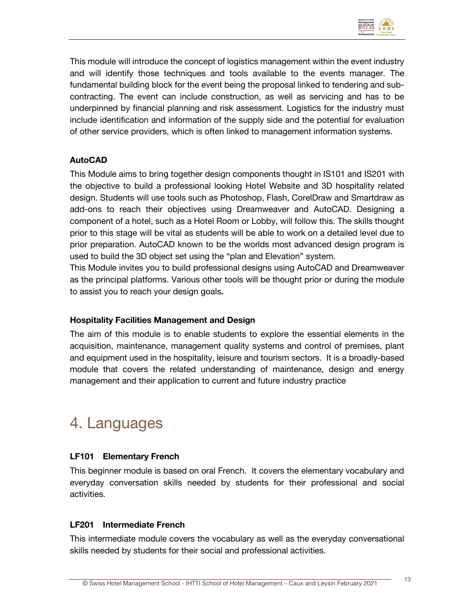

This module will introduce the concept of logistics management within the event industry and will identify those techniques and tools available to the events manager. The fundamental building block for the event being the proposal linked to tendering and subcontracting. The event can include construction, as well as servicing and has to be underpinned by financial planning and risk assessment. Logistics for the industry must include identification and information of the supply side and the potential for evaluation of other service providers, which is often linked to management information systems.

#### **AutoCAD**

This Module aims to bring together design components thought in IS101 and IS201 with the objective to build a professional looking Hotel Website and 3D hospitality related design. Students will use tools such as Photoshop, Flash, CorelDraw and Smartdraw as add-ons to reach their objectives using Dreamweaver and AutoCAD. Designing a component of a hotel, such as a Hotel Room or Lobby, will follow this. The skills thought prior to this stage will be vital as students will be able to work on a detailed level due to prior preparation. AutoCAD known to be the worlds most advanced design program is used to build the 3D object set using the "plan and Elevation" system.

This Module invites you to build professional designs using AutoCAD and Dreamweaver as the principal platforms. Various other tools will be thought prior or during the module to assist you to reach your design goals**.**

#### **Hospitality Facilities Management and Design**

The aim of this module is to enable students to explore the essential elements in the acquisition, maintenance, management quality systems and control of premises, plant and equipment used in the hospitality, leisure and tourism sectors. It is a broadly-based module that covers the related understanding of maintenance, design and energy management and their application to current and future industry practice

### 4. Languages

#### **LF101 Elementary French**

This beginner module is based on oral French. It covers the elementary vocabulary and everyday conversation skills needed by students for their professional and social activities.

#### **LF201 Intermediate French**

This intermediate module covers the vocabulary as well as the everyday conversational skills needed by students for their social and professional activities.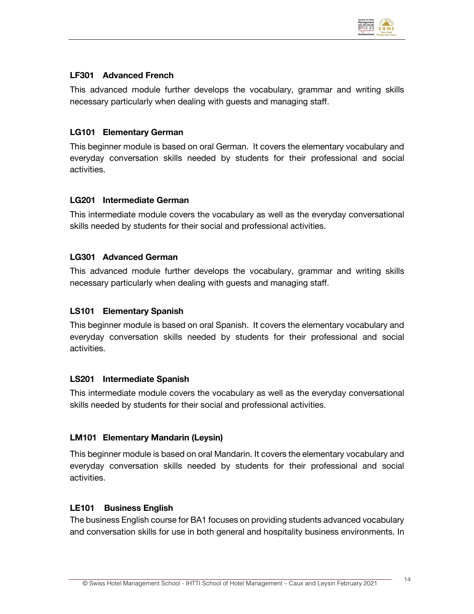

#### **LF301 Advanced French**

This advanced module further develops the vocabulary, grammar and writing skills necessary particularly when dealing with guests and managing staff.

#### **LG101 Elementary German**

This beginner module is based on oral German. It covers the elementary vocabulary and everyday conversation skills needed by students for their professional and social activities.

#### **LG201 Intermediate German**

This intermediate module covers the vocabulary as well as the everyday conversational skills needed by students for their social and professional activities.

#### **LG301 Advanced German**

This advanced module further develops the vocabulary, grammar and writing skills necessary particularly when dealing with guests and managing staff.

#### **LS101 Elementary Spanish**

This beginner module is based on oral Spanish. It covers the elementary vocabulary and everyday conversation skills needed by students for their professional and social activities.

#### **LS201 Intermediate Spanish**

This intermediate module covers the vocabulary as well as the everyday conversational skills needed by students for their social and professional activities.

#### **LM101 Elementary Mandarin (Leysin)**

This beginner module is based on oral Mandarin. It covers the elementary vocabulary and everyday conversation skills needed by students for their professional and social activities.

#### **LE101 Business English**

The business English course for BA1 focuses on providing students advanced vocabulary and conversation skills for use in both general and hospitality business environments. In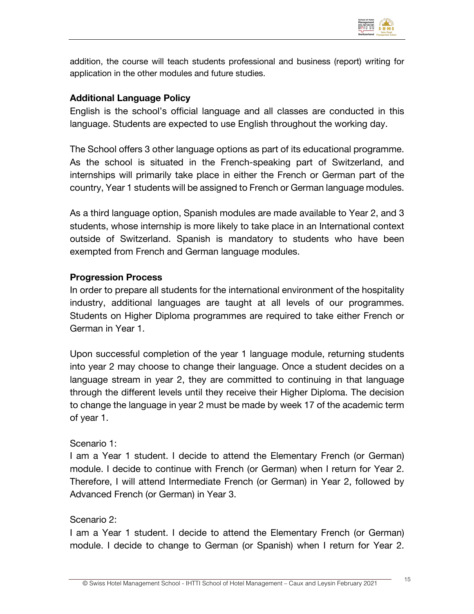

addition, the course will teach students professional and business (report) writing for application in the other modules and future studies.

#### **Additional Language Policy**

English is the school's official language and all classes are conducted in this language. Students are expected to use English throughout the working day.

The School offers 3 other language options as part of its educational programme. As the school is situated in the French-speaking part of Switzerland, and internships will primarily take place in either the French or German part of the country, Year 1 students will be assigned to French or German language modules.

As a third language option, Spanish modules are made available to Year 2, and 3 students, whose internship is more likely to take place in an International context outside of Switzerland. Spanish is mandatory to students who have been exempted from French and German language modules.

#### **Progression Process**

In order to prepare all students for the international environment of the hospitality industry, additional languages are taught at all levels of our programmes. Students on Higher Diploma programmes are required to take either French or German in Year 1.

Upon successful completion of the year 1 language module, returning students into year 2 may choose to change their language. Once a student decides on a language stream in year 2, they are committed to continuing in that language through the different levels until they receive their Higher Diploma. The decision to change the language in year 2 must be made by week 17 of the academic term of year 1.

#### Scenario 1:

I am a Year 1 student. I decide to attend the Elementary French (or German) module. I decide to continue with French (or German) when I return for Year 2. Therefore, I will attend Intermediate French (or German) in Year 2, followed by Advanced French (or German) in Year 3.

#### Scenario 2:

I am a Year 1 student. I decide to attend the Elementary French (or German) module. I decide to change to German (or Spanish) when I return for Year 2.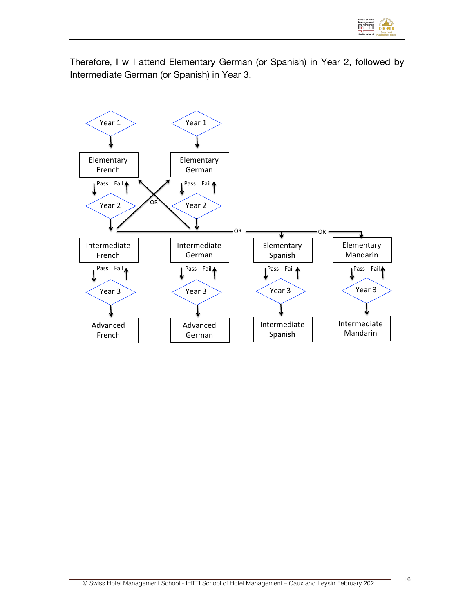

Therefore, I will attend Elementary German (or Spanish) in Year 2, followed by Intermediate German (or Spanish) in Year 3.

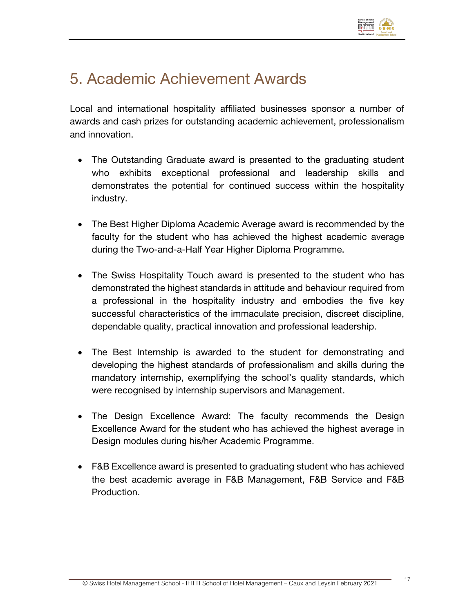

### 5. Academic Achievement Awards

Local and international hospitality affiliated businesses sponsor a number of awards and cash prizes for outstanding academic achievement, professionalism and innovation.

- The Outstanding Graduate award is presented to the graduating student who exhibits exceptional professional and leadership skills and demonstrates the potential for continued success within the hospitality industry.
- The Best Higher Diploma Academic Average award is recommended by the faculty for the student who has achieved the highest academic average during the Two-and-a-Half Year Higher Diploma Programme.
- The Swiss Hospitality Touch award is presented to the student who has demonstrated the highest standards in attitude and behaviour required from a professional in the hospitality industry and embodies the five key successful characteristics of the immaculate precision, discreet discipline, dependable quality, practical innovation and professional leadership.
- The Best Internship is awarded to the student for demonstrating and developing the highest standards of professionalism and skills during the mandatory internship, exemplifying the school's quality standards, which were recognised by internship supervisors and Management.
- The Design Excellence Award: The faculty recommends the Design Excellence Award for the student who has achieved the highest average in Design modules during his/her Academic Programme.
- F&B Excellence award is presented to graduating student who has achieved the best academic average in F&B Management, F&B Service and F&B Production.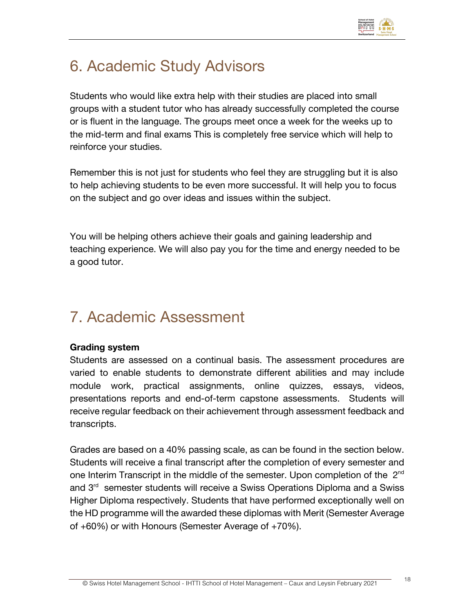

# 6. Academic Study Advisors

Students who would like extra help with their studies are placed into small groups with a student tutor who has already successfully completed the course or is fluent in the language. The groups meet once a week for the weeks up to the mid-term and final exams This is completely free service which will help to reinforce your studies.

Remember this is not just for students who feel they are struggling but it is also to help achieving students to be even more successful. It will help you to focus on the subject and go over ideas and issues within the subject.

You will be helping others achieve their goals and gaining leadership and teaching experience. We will also pay you for the time and energy needed to be a good tutor.

## 7. Academic Assessment

#### **Grading system**

Students are assessed on a continual basis. The assessment procedures are varied to enable students to demonstrate different abilities and may include module work, practical assignments, online quizzes, essays, videos, presentations reports and end-of-term capstone assessments. Students will receive regular feedback on their achievement through assessment feedback and transcripts.

Grades are based on a 40% passing scale, as can be found in the section below. Students will receive a final transcript after the completion of every semester and one Interim Transcript in the middle of the semester. Upon completion of the 2<sup>nd</sup> and 3<sup>rd</sup> semester students will receive a Swiss Operations Diploma and a Swiss Higher Diploma respectively. Students that have performed exceptionally well on the HD programme will the awarded these diplomas with Merit (Semester Average of +60%) or with Honours (Semester Average of +70%).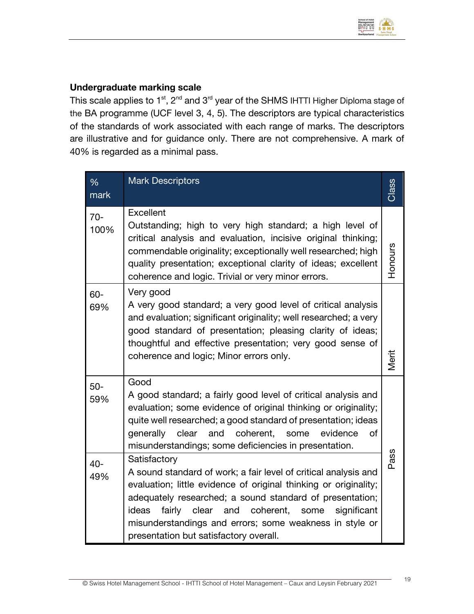

#### **Undergraduate marking scale**

This scale applies to  $1^{st}$ ,  $2^{nd}$  and  $3^{rd}$  year of the SHMS IHTTI Higher Diploma stage of the BA programme (UCF level 3, 4, 5). The descriptors are typical characteristics of the standards of work associated with each range of marks. The descriptors are illustrative and for guidance only. There are not comprehensive. A mark of 40% is regarded as a minimal pass.

| $\%$<br>mark  | <b>Mark Descriptors</b>                                                                                                                                                                                                                                                                                                                                                                     | Class   |  |
|---------------|---------------------------------------------------------------------------------------------------------------------------------------------------------------------------------------------------------------------------------------------------------------------------------------------------------------------------------------------------------------------------------------------|---------|--|
| $70-$<br>100% | Excellent<br>Outstanding; high to very high standard; a high level of<br>critical analysis and evaluation, incisive original thinking;<br>commendable originality; exceptionally well researched; high<br>quality presentation; exceptional clarity of ideas; excellent<br>coherence and logic. Trivial or very minor errors.                                                               | Honours |  |
| $60 -$<br>69% | Very good<br>A very good standard; a very good level of critical analysis<br>and evaluation; significant originality; well researched; a very<br>good standard of presentation; pleasing clarity of ideas;<br>thoughtful and effective presentation; very good sense of<br>coherence and logic; Minor errors only.                                                                          | Merit   |  |
| $50-$<br>59%  | Good<br>A good standard; a fairly good level of critical analysis and<br>evaluation; some evidence of original thinking or originality;<br>quite well researched; a good standard of presentation; ideas<br>coherent,<br>clear<br>evidence<br>of<br>generally<br>and<br>some<br>misunderstandings; some deficiencies in presentation.                                                       |         |  |
| 40-<br>49%    | Satisfactory<br>A sound standard of work; a fair level of critical analysis and<br>evaluation; little evidence of original thinking or originality;<br>adequately researched; a sound standard of presentation;<br>coherent,<br>ideas<br>fairly<br>clear<br>and<br>significant<br>some<br>misunderstandings and errors; some weakness in style or<br>presentation but satisfactory overall. | Pass    |  |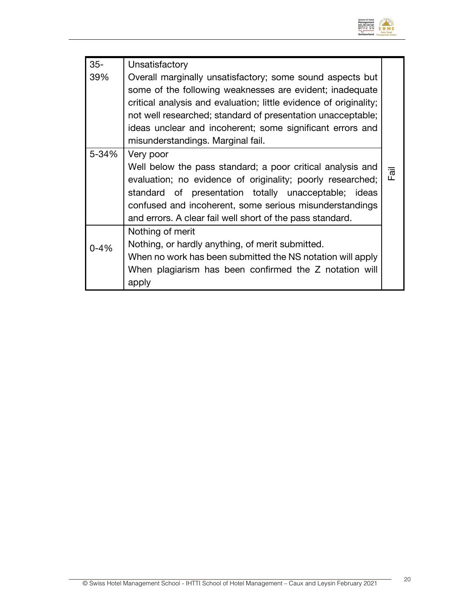

| $35-$    | Unsatisfactory                                                                                                                                                                                                                                                                                                        |      |  |  |
|----------|-----------------------------------------------------------------------------------------------------------------------------------------------------------------------------------------------------------------------------------------------------------------------------------------------------------------------|------|--|--|
| 39%      | Overall marginally unsatisfactory; some sound aspects but<br>some of the following weaknesses are evident; inadequate<br>critical analysis and evaluation; little evidence of originality;<br>not well researched; standard of presentation unacceptable;                                                             |      |  |  |
|          | ideas unclear and incoherent; some significant errors and                                                                                                                                                                                                                                                             |      |  |  |
| 5-34%    | misunderstandings. Marginal fail.                                                                                                                                                                                                                                                                                     |      |  |  |
|          | Very poor<br>Well below the pass standard; a poor critical analysis and<br>evaluation; no evidence of originality; poorly researched;<br>standard of presentation totally unacceptable; ideas<br>confused and incoherent, some serious misunderstandings<br>and errors. A clear fail well short of the pass standard. | Fail |  |  |
| $0 - 4%$ | Nothing of merit<br>Nothing, or hardly anything, of merit submitted.<br>When no work has been submitted the NS notation will apply<br>When plagiarism has been confirmed the Z notation will<br>apply                                                                                                                 |      |  |  |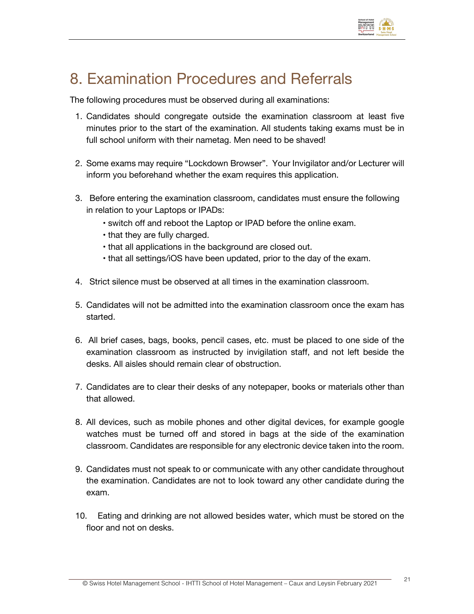

# 8. Examination Procedures and Referrals

The following procedures must be observed during all examinations:

- 1. Candidates should congregate outside the examination classroom at least five minutes prior to the start of the examination. All students taking exams must be in full school uniform with their nametag. Men need to be shaved!
- 2. Some exams may require "Lockdown Browser". Your Invigilator and/or Lecturer will inform you beforehand whether the exam requires this application.
- 3. Before entering the examination classroom, candidates must ensure the following in relation to your Laptops or IPADs:
	- switch off and reboot the Laptop or IPAD before the online exam.
	- that they are fully charged.
	- that all applications in the background are closed out.
	- that all settings/iOS have been updated, prior to the day of the exam.
- 4. Strict silence must be observed at all times in the examination classroom.
- 5. Candidates will not be admitted into the examination classroom once the exam has started.
- 6. All brief cases, bags, books, pencil cases, etc. must be placed to one side of the examination classroom as instructed by invigilation staff, and not left beside the desks. All aisles should remain clear of obstruction.
- 7. Candidates are to clear their desks of any notepaper, books or materials other than that allowed.
- 8. All devices, such as mobile phones and other digital devices, for example google watches must be turned off and stored in bags at the side of the examination classroom. Candidates are responsible for any electronic device taken into the room.
- 9. Candidates must not speak to or communicate with any other candidate throughout the examination. Candidates are not to look toward any other candidate during the exam.
- 10. Eating and drinking are not allowed besides water, which must be stored on the floor and not on desks.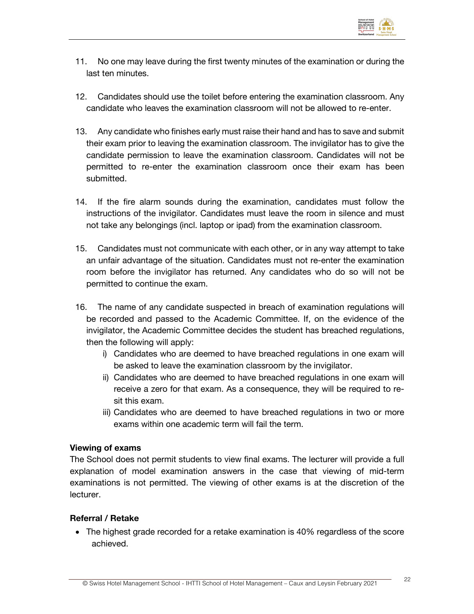

- 11. No one may leave during the first twenty minutes of the examination or during the last ten minutes.
- 12. Candidates should use the toilet before entering the examination classroom. Any candidate who leaves the examination classroom will not be allowed to re-enter.
- 13. Any candidate who finishes early must raise their hand and has to save and submit their exam prior to leaving the examination classroom. The invigilator has to give the candidate permission to leave the examination classroom. Candidates will not be permitted to re-enter the examination classroom once their exam has been submitted.
- 14. If the fire alarm sounds during the examination, candidates must follow the instructions of the invigilator. Candidates must leave the room in silence and must not take any belongings (incl. laptop or ipad) from the examination classroom.
- 15. Candidates must not communicate with each other, or in any way attempt to take an unfair advantage of the situation. Candidates must not re-enter the examination room before the invigilator has returned. Any candidates who do so will not be permitted to continue the exam.
- 16. The name of any candidate suspected in breach of examination regulations will be recorded and passed to the Academic Committee. If, on the evidence of the invigilator, the Academic Committee decides the student has breached regulations, then the following will apply:
	- i) Candidates who are deemed to have breached regulations in one exam will be asked to leave the examination classroom by the invigilator.
	- ii) Candidates who are deemed to have breached regulations in one exam will receive a zero for that exam. As a consequence, they will be required to resit this exam.
	- iii) Candidates who are deemed to have breached regulations in two or more exams within one academic term will fail the term.

#### **Viewing of exams**

The School does not permit students to view final exams. The lecturer will provide a full explanation of model examination answers in the case that viewing of mid-term examinations is not permitted. The viewing of other exams is at the discretion of the lecturer.

#### **Referral / Retake**

• The highest grade recorded for a retake examination is 40% regardless of the score achieved.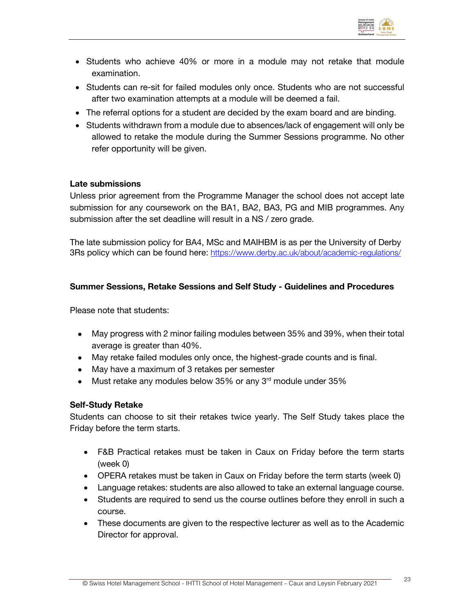

- Students who achieve 40% or more in a module may not retake that module examination.
- Students can re-sit for failed modules only once. Students who are not successful after two examination attempts at a module will be deemed a fail.
- The referral options for a student are decided by the exam board and are binding.
- Students withdrawn from a module due to absences/lack of engagement will only be allowed to retake the module during the Summer Sessions programme. No other refer opportunity will be given.

#### **Late submissions**

Unless prior agreement from the Programme Manager the school does not accept late submission for any coursework on the BA1, BA2, BA3, PG and MIB programmes. Any submission after the set deadline will result in a NS / zero grade.

The late submission policy for BA4, MSc and MAIHBM is as per the University of Derby 3Rs policy which can be found here: https://www.derby.ac.uk/about/academic-regulations/

#### **Summer Sessions, Retake Sessions and Self Study - Guidelines and Procedures**

Please note that students:

- May progress with 2 minor failing modules between 35% and 39%, when their total average is greater than 40%.
- May retake failed modules only once, the highest-grade counts and is final.
- May have a maximum of 3 retakes per semester
- Must retake any modules below 35% or any  $3<sup>rd</sup>$  module under 35%

#### **Self-Study Retake**

Students can choose to sit their retakes twice yearly. The Self Study takes place the Friday before the term starts.

- F&B Practical retakes must be taken in Caux on Friday before the term starts (week 0)
- OPERA retakes must be taken in Caux on Friday before the term starts (week 0)
- Language retakes: students are also allowed to take an external language course.
- Students are required to send us the course outlines before they enroll in such a course.
- These documents are given to the respective lecturer as well as to the Academic Director for approval.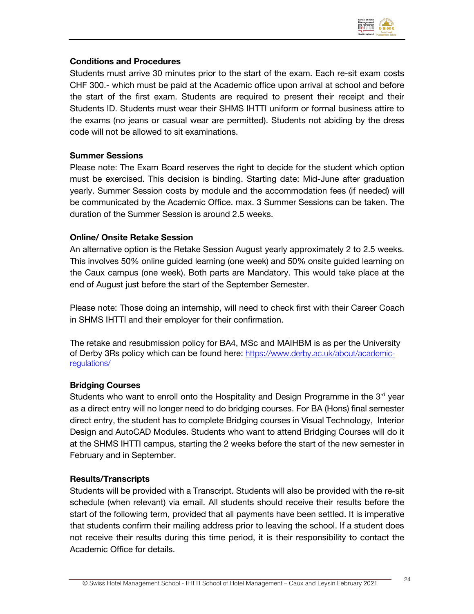

#### **Conditions and Procedures**

Students must arrive 30 minutes prior to the start of the exam. Each re-sit exam costs CHF 300.- which must be paid at the Academic office upon arrival at school and before the start of the first exam. Students are required to present their receipt and their Students ID. Students must wear their SHMS IHTTI uniform or formal business attire to the exams (no jeans or casual wear are permitted). Students not abiding by the dress code will not be allowed to sit examinations.

#### **Summer Sessions**

Please note: The Exam Board reserves the right to decide for the student which option must be exercised. This decision is binding. Starting date: Mid-June after graduation yearly. Summer Session costs by module and the accommodation fees (if needed) will be communicated by the Academic Office. max. 3 Summer Sessions can be taken. The duration of the Summer Session is around 2.5 weeks.

#### **Online/ Onsite Retake Session**

An alternative option is the Retake Session August yearly approximately 2 to 2.5 weeks. This involves 50% online guided learning (one week) and 50% onsite guided learning on the Caux campus (one week). Both parts are Mandatory. This would take place at the end of August just before the start of the September Semester.

Please note: Those doing an internship, will need to check first with their Career Coach in SHMS IHTTI and their employer for their confirmation.

The retake and resubmission policy for BA4, MSc and MAIHBM is as per the University of Derby 3Rs policy which can be found here: https://www.derby.ac.uk/about/academicregulations/

#### **Bridging Courses**

Students who want to enroll onto the Hospitality and Design Programme in the  $3<sup>rd</sup>$  year as a direct entry will no longer need to do bridging courses. For BA (Hons) final semester direct entry, the student has to complete Bridging courses in Visual Technology, Interior Design and AutoCAD Modules. Students who want to attend Bridging Courses will do it at the SHMS IHTTI campus, starting the 2 weeks before the start of the new semester in February and in September.

#### **Results/Transcripts**

Students will be provided with a Transcript. Students will also be provided with the re-sit schedule (when relevant) via email. All students should receive their results before the start of the following term, provided that all payments have been settled. It is imperative that students confirm their mailing address prior to leaving the school. If a student does not receive their results during this time period, it is their responsibility to contact the Academic Office for details.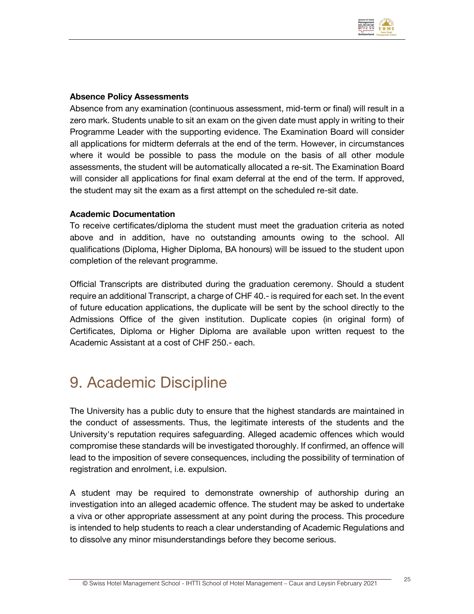

#### **Absence Policy Assessments**

Absence from any examination (continuous assessment, mid-term or final) will result in a zero mark. Students unable to sit an exam on the given date must apply in writing to their Programme Leader with the supporting evidence. The Examination Board will consider all applications for midterm deferrals at the end of the term. However, in circumstances where it would be possible to pass the module on the basis of all other module assessments, the student will be automatically allocated a re-sit. The Examination Board will consider all applications for final exam deferral at the end of the term. If approved, the student may sit the exam as a first attempt on the scheduled re-sit date.

#### **Academic Documentation**

To receive certificates/diploma the student must meet the graduation criteria as noted above and in addition, have no outstanding amounts owing to the school. All qualifications (Diploma, Higher Diploma, BA honours) will be issued to the student upon completion of the relevant programme.

Official Transcripts are distributed during the graduation ceremony. Should a student require an additional Transcript, a charge of CHF 40.- is required for each set. In the event of future education applications, the duplicate will be sent by the school directly to the Admissions Office of the given institution. Duplicate copies (in original form) of Certificates, Diploma or Higher Diploma are available upon written request to the Academic Assistant at a cost of CHF 250.- each.

### 9. Academic Discipline

The University has a public duty to ensure that the highest standards are maintained in the conduct of assessments. Thus, the legitimate interests of the students and the University's reputation requires safeguarding. Alleged academic offences which would compromise these standards will be investigated thoroughly. If confirmed, an offence will lead to the imposition of severe consequences, including the possibility of termination of registration and enrolment, i.e. expulsion.

A student may be required to demonstrate ownership of authorship during an investigation into an alleged academic offence. The student may be asked to undertake a viva or other appropriate assessment at any point during the process. This procedure is intended to help students to reach a clear understanding of Academic Regulations and to dissolve any minor misunderstandings before they become serious.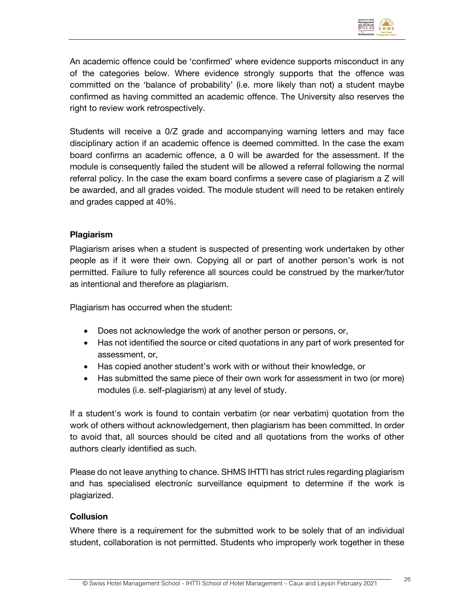

An academic offence could be 'confirmed' where evidence supports misconduct in any of the categories below. Where evidence strongly supports that the offence was committed on the 'balance of probability' (i.e. more likely than not) a student maybe confirmed as having committed an academic offence. The University also reserves the right to review work retrospectively.

Students will receive a 0/Z grade and accompanying warning letters and may face disciplinary action if an academic offence is deemed committed. In the case the exam board confirms an academic offence, a 0 will be awarded for the assessment. If the module is consequently failed the student will be allowed a referral following the normal referral policy. In the case the exam board confirms a severe case of plagiarism a Z will be awarded, and all grades voided. The module student will need to be retaken entirely and grades capped at 40%.

#### **Plagiarism**

Plagiarism arises when a student is suspected of presenting work undertaken by other people as if it were their own. Copying all or part of another person's work is not permitted. Failure to fully reference all sources could be construed by the marker/tutor as intentional and therefore as plagiarism.

Plagiarism has occurred when the student:

- Does not acknowledge the work of another person or persons, or,
- Has not identified the source or cited quotations in any part of work presented for assessment, or,
- Has copied another student's work with or without their knowledge, or
- Has submitted the same piece of their own work for assessment in two (or more) modules (i.e. self-plagiarism) at any level of study.

If a student's work is found to contain verbatim (or near verbatim) quotation from the work of others without acknowledgement, then plagiarism has been committed. In order to avoid that, all sources should be cited and all quotations from the works of other authors clearly identified as such.

Please do not leave anything to chance. SHMS IHTTI has strict rules regarding plagiarism and has specialised electronic surveillance equipment to determine if the work is plagiarized.

#### **Collusion**

Where there is a requirement for the submitted work to be solely that of an individual student, collaboration is not permitted. Students who improperly work together in these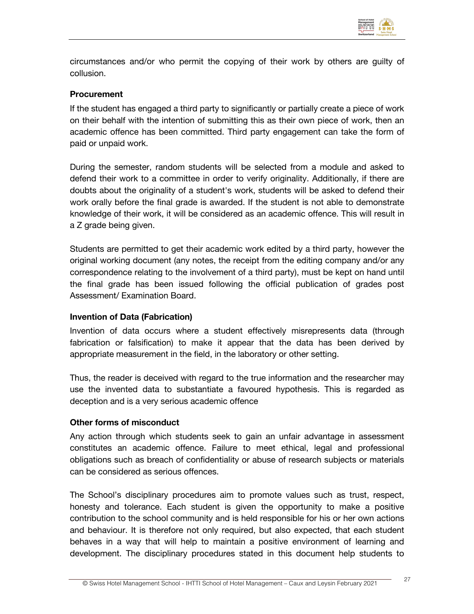

circumstances and/or who permit the copying of their work by others are guilty of collusion.

#### **Procurement**

If the student has engaged a third party to significantly or partially create a piece of work on their behalf with the intention of submitting this as their own piece of work, then an academic offence has been committed. Third party engagement can take the form of paid or unpaid work.

During the semester, random students will be selected from a module and asked to defend their work to a committee in order to verify originality. Additionally, if there are doubts about the originality of a student's work, students will be asked to defend their work orally before the final grade is awarded. If the student is not able to demonstrate knowledge of their work, it will be considered as an academic offence. This will result in a Z grade being given.

Students are permitted to get their academic work edited by a third party, however the original working document (any notes, the receipt from the editing company and/or any correspondence relating to the involvement of a third party), must be kept on hand until the final grade has been issued following the official publication of grades post Assessment/ Examination Board.

#### **Invention of Data (Fabrication)**

Invention of data occurs where a student effectively misrepresents data (through fabrication or falsification) to make it appear that the data has been derived by appropriate measurement in the field, in the laboratory or other setting.

Thus, the reader is deceived with regard to the true information and the researcher may use the invented data to substantiate a favoured hypothesis. This is regarded as deception and is a very serious academic offence

#### **Other forms of misconduct**

Any action through which students seek to gain an unfair advantage in assessment constitutes an academic offence. Failure to meet ethical, legal and professional obligations such as breach of confidentiality or abuse of research subjects or materials can be considered as serious offences.

The School's disciplinary procedures aim to promote values such as trust, respect, honesty and tolerance. Each student is given the opportunity to make a positive contribution to the school community and is held responsible for his or her own actions and behaviour. It is therefore not only required, but also expected, that each student behaves in a way that will help to maintain a positive environment of learning and development. The disciplinary procedures stated in this document help students to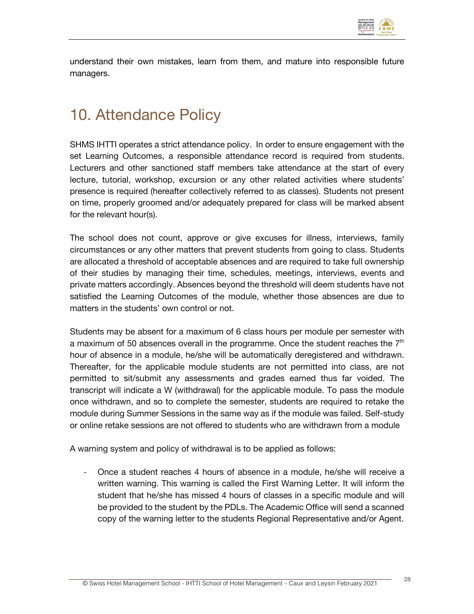

understand their own mistakes, learn from them, and mature into responsible future managers.

### 10. Attendance Policy

SHMS IHTTI operates a strict attendance policy. In order to ensure engagement with the set Learning Outcomes, a responsible attendance record is required from students. Lecturers and other sanctioned staff members take attendance at the start of every lecture, tutorial, workshop, excursion or any other related activities where students' presence is required (hereafter collectively referred to as classes). Students not present on time, properly groomed and/or adequately prepared for class will be marked absent for the relevant hour(s).

The school does not count, approve or give excuses for illness, interviews, family circumstances or any other matters that prevent students from going to class. Students are allocated a threshold of acceptable absences and are required to take full ownership of their studies by managing their time, schedules, meetings, interviews, events and private matters accordingly. Absences beyond the threshold will deem students have not satisfied the Learning Outcomes of the module, whether those absences are due to matters in the students' own control or not.

Students may be absent for a maximum of 6 class hours per module per semester with a maximum of 50 absences overall in the programme. Once the student reaches the  $7<sup>th</sup>$ hour of absence in a module, he/she will be automatically deregistered and withdrawn. Thereafter, for the applicable module students are not permitted into class, are not permitted to sit/submit any assessments and grades earned thus far voided. The transcript will indicate a W (withdrawal) for the applicable module. To pass the module once withdrawn, and so to complete the semester, students are required to retake the module during Summer Sessions in the same way as if the module was failed. Self-study or online retake sessions are not offered to students who are withdrawn from a module

A warning system and policy of withdrawal is to be applied as follows:

- Once a student reaches 4 hours of absence in a module, he/she will receive a written warning. This warning is called the First Warning Letter. It will inform the student that he/she has missed 4 hours of classes in a specific module and will be provided to the student by the PDLs. The Academic Office will send a scanned copy of the warning letter to the students Regional Representative and/or Agent.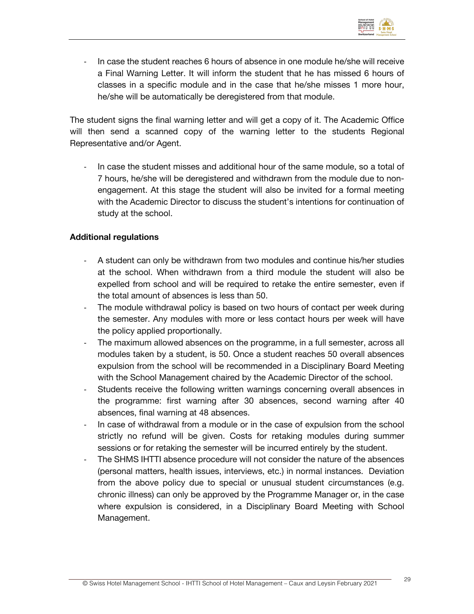

- In case the student reaches 6 hours of absence in one module he/she will receive a Final Warning Letter. It will inform the student that he has missed 6 hours of classes in a specific module and in the case that he/she misses 1 more hour, he/she will be automatically be deregistered from that module.

The student signs the final warning letter and will get a copy of it. The Academic Office will then send a scanned copy of the warning letter to the students Regional Representative and/or Agent.

In case the student misses and additional hour of the same module, so a total of 7 hours, he/she will be deregistered and withdrawn from the module due to nonengagement. At this stage the student will also be invited for a formal meeting with the Academic Director to discuss the student's intentions for continuation of study at the school.

#### **Additional regulations**

- A student can only be withdrawn from two modules and continue his/her studies at the school. When withdrawn from a third module the student will also be expelled from school and will be required to retake the entire semester, even if the total amount of absences is less than 50.
- The module withdrawal policy is based on two hours of contact per week during the semester. Any modules with more or less contact hours per week will have the policy applied proportionally.
- The maximum allowed absences on the programme, in a full semester, across all modules taken by a student, is 50. Once a student reaches 50 overall absences expulsion from the school will be recommended in a Disciplinary Board Meeting with the School Management chaired by the Academic Director of the school.
- Students receive the following written warnings concerning overall absences in the programme: first warning after 30 absences, second warning after 40 absences, final warning at 48 absences.
- In case of withdrawal from a module or in the case of expulsion from the school strictly no refund will be given. Costs for retaking modules during summer sessions or for retaking the semester will be incurred entirely by the student.
- The SHMS IHTTI absence procedure will not consider the nature of the absences (personal matters, health issues, interviews, etc.) in normal instances. Deviation from the above policy due to special or unusual student circumstances (e.g. chronic illness) can only be approved by the Programme Manager or, in the case where expulsion is considered, in a Disciplinary Board Meeting with School Management.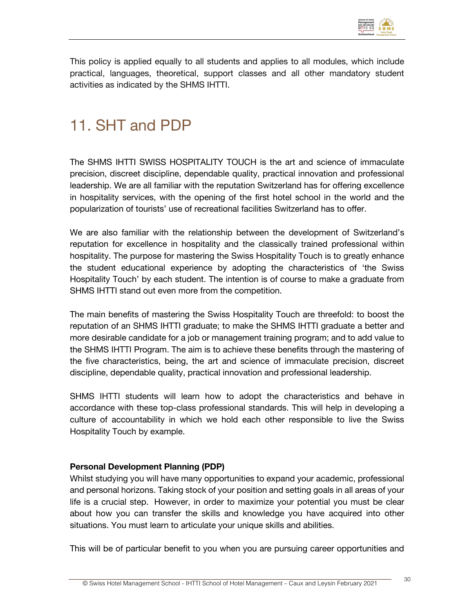

This policy is applied equally to all students and applies to all modules, which include practical, languages, theoretical, support classes and all other mandatory student activities as indicated by the SHMS IHTTI.

# 11. SHT and PDP

The SHMS IHTTI SWISS HOSPITALITY TOUCH is the art and science of immaculate precision, discreet discipline, dependable quality, practical innovation and professional leadership. We are all familiar with the reputation Switzerland has for offering excellence in hospitality services, with the opening of the first hotel school in the world and the popularization of tourists' use of recreational facilities Switzerland has to offer.

We are also familiar with the relationship between the development of Switzerland's reputation for excellence in hospitality and the classically trained professional within hospitality. The purpose for mastering the Swiss Hospitality Touch is to greatly enhance the student educational experience by adopting the characteristics of 'the Swiss Hospitality Touch' by each student. The intention is of course to make a graduate from SHMS IHTTI stand out even more from the competition.

The main benefits of mastering the Swiss Hospitality Touch are threefold: to boost the reputation of an SHMS IHTTI graduate; to make the SHMS IHTTI graduate a better and more desirable candidate for a job or management training program; and to add value to the SHMS IHTTI Program. The aim is to achieve these benefits through the mastering of the five characteristics, being, the art and science of immaculate precision, discreet discipline, dependable quality, practical innovation and professional leadership.

SHMS IHTTI students will learn how to adopt the characteristics and behave in accordance with these top-class professional standards. This will help in developing a culture of accountability in which we hold each other responsible to live the Swiss Hospitality Touch by example.

#### **Personal Development Planning (PDP)**

Whilst studying you will have many opportunities to expand your academic, professional and personal horizons. Taking stock of your position and setting goals in all areas of your life is a crucial step. However, in order to maximize your potential you must be clear about how you can transfer the skills and knowledge you have acquired into other situations. You must learn to articulate your unique skills and abilities.

This will be of particular benefit to you when you are pursuing career opportunities and